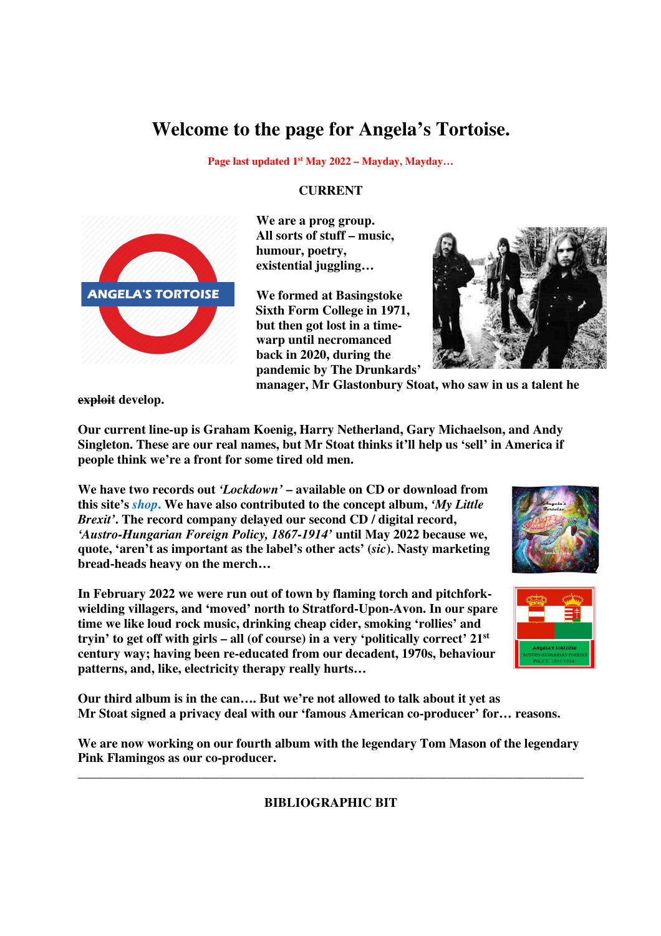## **Welcome to the page for Angela's Tortoise.**

**Page last updated 1st May 2022 – Mayday, Mayday…**

## **CURRENT**



 **We are a prog group. All sorts of stuff – music, humour, poetry, existential juggling…** 

**Sixth Form College in 1971, but then got lost in a time warp until necromanced back in 2020, during the pandemic by The Drunkards'** 



 **manager, Mr Glastonbury Stoat, who saw in us a talent he** 

**exploit develop.** 

**Our current line-up is Graham Koenig, Harry Netherland, Gary Michaelson, and Andy Singleton. These are our real names, but Mr Stoat thinks it'll help us 'sell' in America if people think we're a front for some tired old men.** 

**We have two records out** *'Lockdown'* **– available on CD or download from this site's** *shop***. We have also contributed to the concept album,** *'My Little Brexit'***. The record company delayed our second CD / digital record,**  *'Austro-Hungarian Foreign Policy, 1867-1914'* **until May 2022 because we, quote, 'aren't as important as the label's other acts' (***sic***). Nasty marketing bread-heads heavy on the merch…**

**In February 2022 we were run out of town by flaming torch and pitchforkwielding villagers, and 'moved' north to Stratford-Upon-Avon. In our spare time we like loud rock music, drinking cheap cider, smoking 'rollies' and tryin' to get off with girls – all (of course) in a very 'politically correct' 21st century way; having been re-educated from our decadent, 1970s, behaviour patterns, and, like, electricity therapy really hurts…** 





**Our third album is in the can…. But we're not allowed to talk about it yet as Mr Stoat signed a privacy deal with our 'famous American co-producer' for… reasons.** 

**We are now working on our fourth album with the legendary Tom Mason of the legendary Pink Flamingos as our co-producer.** 

\_\_\_\_\_\_\_\_\_\_\_\_\_\_\_\_\_\_\_\_\_\_\_\_\_\_\_\_\_\_\_\_\_\_\_\_\_\_\_\_\_\_\_\_\_\_\_\_\_\_\_\_\_\_\_\_\_\_\_\_\_\_\_\_\_\_\_\_\_\_\_\_\_\_\_\_\_\_ **BIBLIOGRAPHIC BIT**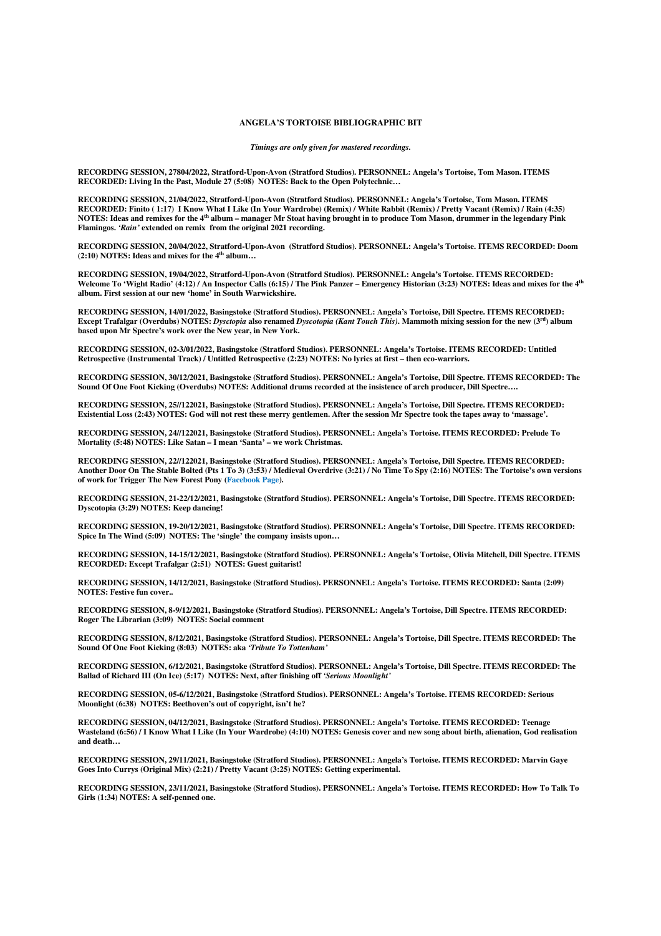## **ANGELA'S TORTOISE BIBLIOGRAPHIC BIT**

*Timings are only given for mastered recordings.* 

**RECORDING SESSION, 27804/2022, Stratford-Upon-Avon (Stratford Studios). PERSONNEL: Angela's Tortoise, Tom Mason. ITEMS RECORDED: Living In the Past, Module 27 (5:08) NOTES: Back to the Open Polytechnic…** 

**RECORDING SESSION, 21/04/2022, Stratford-Upon-Avon (Stratford Studios). PERSONNEL: Angela's Tortoise, Tom Mason. ITEMS RECORDED: Finito ( 1:17) I Know What I Like (In Your Wardrobe) (Remix) / White Rabbit (Remix) / Pretty Vacant (Remix) / Rain (4:35) NOTES: Ideas and remixes for the 4th album – manager Mr Stoat having brought in to produce Tom Mason, drummer in the legendary Pink Flamingos.** *'Rain'* **extended on remix from the original 2021 recording.** 

**RECORDING SESSION, 20/04/2022, Stratford-Upon-Avon (Stratford Studios). PERSONNEL: Angela's Tortoise. ITEMS RECORDED: Doom (2:10) NOTES: Ideas and mixes for the 4th album…**

**RECORDING SESSION, 19/04/2022, Stratford-Upon-Avon (Stratford Studios). PERSONNEL: Angela's Tortoise. ITEMS RECORDED: Welcome To 'Wight Radio' (4:12) / An Inspector Calls (6:15) / The Pink Panzer – Emergency Historian (3:23) NOTES: Ideas and mixes for the 4th album. First session at our new 'home' in South Warwickshire.**

**RECORDING SESSION, 14/01/2022, Basingstoke (Stratford Studios). PERSONNEL: Angela's Tortoise, Dill Spectre. ITEMS RECORDED: Except Trafalgar (Overdubs) NOTES:** *Dysctopia* **also renamed** *Dyscotopia (Kant Touch This)***. Mammoth mixing session for the new (3rd) album based upon Mr Spectre's work over the New year, in New York.**

**RECORDING SESSION, 02-3/01/2022, Basingstoke (Stratford Studios). PERSONNEL: Angela's Tortoise. ITEMS RECORDED: Untitled Retrospective (Instrumental Track) / Untitled Retrospective (2:23) NOTES: No lyrics at first – then eco-warriors.**

**RECORDING SESSION, 30/12/2021, Basingstoke (Stratford Studios). PERSONNEL: Angela's Tortoise, Dill Spectre. ITEMS RECORDED: The Sound Of One Foot Kicking (Overdubs) NOTES: Additional drums recorded at the insistence of arch producer, Dill Spectre….**

**RECORDING SESSION, 25//122021, Basingstoke (Stratford Studios). PERSONNEL: Angela's Tortoise, Dill Spectre. ITEMS RECORDED: Existential Loss (2:43) NOTES: God will not rest these merry gentlemen. After the session Mr Spectre took the tapes away to 'massage'.** 

**RECORDING SESSION, 24//122021, Basingstoke (Stratford Studios). PERSONNEL: Angela's Tortoise. ITEMS RECORDED: Prelude To Mortality (5:48) NOTES: Like Satan – I mean 'Santa' – we work Christmas.** 

**RECORDING SESSION, 22//122021, Basingstoke (Stratford Studios). PERSONNEL: Angela's Tortoise, Dill Spectre. ITEMS RECORDED: Another Door On The Stable Bolted (Pts 1 To 3) (3:53) / Medieval Overdrive (3:21) / No Time To Spy (2:16) NOTES: The Tortoise's own versions of work for Trigger The New Forest Pony (Facebook Page).** 

**RECORDING SESSION, 21-22/12/2021, Basingstoke (Stratford Studios). PERSONNEL: Angela's Tortoise, Dill Spectre. ITEMS RECORDED: Dyscotopia (3:29) NOTES: Keep dancing!**

**RECORDING SESSION, 19-20/12/2021, Basingstoke (Stratford Studios). PERSONNEL: Angela's Tortoise, Dill Spectre. ITEMS RECORDED: Spice In The Wind (5:09) NOTES: The 'single' the company insists upon…**

**RECORDING SESSION, 14-15/12/2021, Basingstoke (Stratford Studios). PERSONNEL: Angela's Tortoise, Olivia Mitchell, Dill Spectre. ITEMS RECORDED: Except Trafalgar (2:51) NOTES: Guest guitarist!**

**RECORDING SESSION, 14/12/2021, Basingstoke (Stratford Studios). PERSONNEL: Angela's Tortoise. ITEMS RECORDED: Santa (2:09) NOTES: Festive fun cover..**

**RECORDING SESSION, 8-9/12/2021, Basingstoke (Stratford Studios). PERSONNEL: Angela's Tortoise, Dill Spectre. ITEMS RECORDED: Roger The Librarian (3:09) NOTES: Social comment**

**RECORDING SESSION, 8/12/2021, Basingstoke (Stratford Studios). PERSONNEL: Angela's Tortoise, Dill Spectre. ITEMS RECORDED: The Sound Of One Foot Kicking (8:03) NOTES: aka** *'Tribute To Tottenham'* 

**RECORDING SESSION, 6/12/2021, Basingstoke (Stratford Studios). PERSONNEL: Angela's Tortoise, Dill Spectre. ITEMS RECORDED: The Ballad of Richard III (On Ice) (5:17) NOTES: Next, after finishing off** *'Serious Moonlight'* 

**RECORDING SESSION, 05-6/12/2021, Basingstoke (Stratford Studios). PERSONNEL: Angela's Tortoise. ITEMS RECORDED: Serious Moonlight (6:38) NOTES: Beethoven's out of copyright, isn't he?** 

**RECORDING SESSION, 04/12/2021, Basingstoke (Stratford Studios). PERSONNEL: Angela's Tortoise. ITEMS RECORDED: Teenage Wasteland (6:56) / I Know What I Like (In Your Wardrobe) (4:10) NOTES: Genesis cover and new song about birth, alienation, God realisation and death…** 

**RECORDING SESSION, 29/11/2021, Basingstoke (Stratford Studios). PERSONNEL: Angela's Tortoise. ITEMS RECORDED: Marvin Gaye Goes Into Currys (Original Mix) (2:21) / Pretty Vacant (3:25) NOTES: Getting experimental.** 

**RECORDING SESSION, 23/11/2021, Basingstoke (Stratford Studios). PERSONNEL: Angela's Tortoise. ITEMS RECORDED: How To Talk To Girls (1:34) NOTES: A self-penned one.**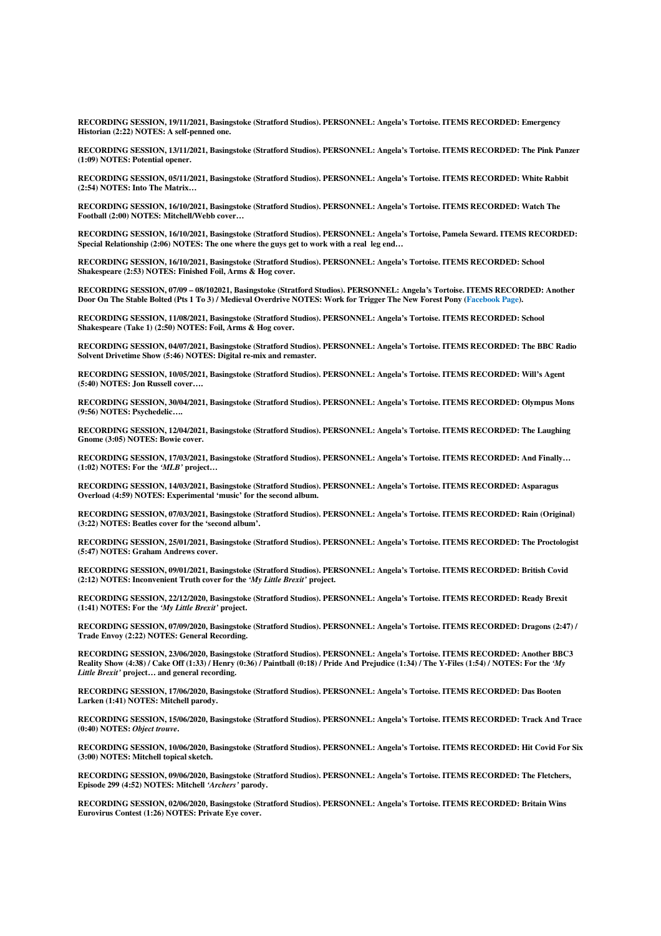**RECORDING SESSION, 19/11/2021, Basingstoke (Stratford Studios). PERSONNEL: Angela's Tortoise. ITEMS RECORDED: Emergency Historian (2:22) NOTES: A self-penned one.** 

**RECORDING SESSION, 13/11/2021, Basingstoke (Stratford Studios). PERSONNEL: Angela's Tortoise. ITEMS RECORDED: The Pink Panzer (1:09) NOTES: Potential opener.** 

**RECORDING SESSION, 05/11/2021, Basingstoke (Stratford Studios). PERSONNEL: Angela's Tortoise. ITEMS RECORDED: White Rabbit (2:54) NOTES: Into The Matrix…** 

**RECORDING SESSION, 16/10/2021, Basingstoke (Stratford Studios). PERSONNEL: Angela's Tortoise. ITEMS RECORDED: Watch The Football (2:00) NOTES: Mitchell/Webb cover…** 

**RECORDING SESSION, 16/10/2021, Basingstoke (Stratford Studios). PERSONNEL: Angela's Tortoise, Pamela Seward. ITEMS RECORDED: Special Relationship (2:06) NOTES: The one where the guys get to work with a real leg end…** 

**RECORDING SESSION, 16/10/2021, Basingstoke (Stratford Studios). PERSONNEL: Angela's Tortoise. ITEMS RECORDED: School Shakespeare (2:53) NOTES: Finished Foil, Arms & Hog cover.** 

**RECORDING SESSION, 07/09 – 08/102021, Basingstoke (Stratford Studios). PERSONNEL: Angela's Tortoise. ITEMS RECORDED: Another Door On The Stable Bolted (Pts 1 To 3) / Medieval Overdrive NOTES: Work for Trigger The New Forest Pony (Facebook Page).** 

**RECORDING SESSION, 11/08/2021, Basingstoke (Stratford Studios). PERSONNEL: Angela's Tortoise. ITEMS RECORDED: School Shakespeare (Take 1) (2:50) NOTES: Foil, Arms & Hog cover.** 

**RECORDING SESSION, 04/07/2021, Basingstoke (Stratford Studios). PERSONNEL: Angela's Tortoise. ITEMS RECORDED: The BBC Radio Solvent Drivetime Show (5:46) NOTES: Digital re-mix and remaster.** 

**RECORDING SESSION, 10/05/2021, Basingstoke (Stratford Studios). PERSONNEL: Angela's Tortoise. ITEMS RECORDED: Will's Agent (5:40) NOTES: Jon Russell cover….** 

**RECORDING SESSION, 30/04/2021, Basingstoke (Stratford Studios). PERSONNEL: Angela's Tortoise. ITEMS RECORDED: Olympus Mons (9:56) NOTES: Psychedelic….** 

**RECORDING SESSION, 12/04/2021, Basingstoke (Stratford Studios). PERSONNEL: Angela's Tortoise. ITEMS RECORDED: The Laughing Gnome (3:05) NOTES: Bowie cover.** 

**RECORDING SESSION, 17/03/2021, Basingstoke (Stratford Studios). PERSONNEL: Angela's Tortoise. ITEMS RECORDED: And Finally… (1:02) NOTES: For the** *'MLB'* **project…** 

**RECORDING SESSION, 14/03/2021, Basingstoke (Stratford Studios). PERSONNEL: Angela's Tortoise. ITEMS RECORDED: Asparagus Overload (4:59) NOTES: Experimental 'music' for the second album.** 

**RECORDING SESSION, 07/03/2021, Basingstoke (Stratford Studios). PERSONNEL: Angela's Tortoise. ITEMS RECORDED: Rain (Original) (3:22) NOTES: Beatles cover for the 'second album'.** 

**RECORDING SESSION, 25/01/2021, Basingstoke (Stratford Studios). PERSONNEL: Angela's Tortoise. ITEMS RECORDED: The Proctologist (5:47) NOTES: Graham Andrews cover.** 

**RECORDING SESSION, 09/01/2021, Basingstoke (Stratford Studios). PERSONNEL: Angela's Tortoise. ITEMS RECORDED: British Covid (2:12) NOTES: Inconvenient Truth cover for the** *'My Little Brexit'* **project.** 

**RECORDING SESSION, 22/12/2020, Basingstoke (Stratford Studios). PERSONNEL: Angela's Tortoise. ITEMS RECORDED: Ready Brexit (1:41) NOTES: For the** *'My Little Brexit'* **project.** 

**RECORDING SESSION, 07/09/2020, Basingstoke (Stratford Studios). PERSONNEL: Angela's Tortoise. ITEMS RECORDED: Dragons (2:47) / Trade Envoy (2:22) NOTES: General Recording.** 

**RECORDING SESSION, 23/06/2020, Basingstoke (Stratford Studios). PERSONNEL: Angela's Tortoise. ITEMS RECORDED: Another BBC3 Reality Show (4:38) / Cake Off (1:33) / Henry (0:36) / Paintball (0:18) / Pride And Prejudice (1:34) / The Y-Files (1:54) / NOTES: For the** *'My Little Brexit'* **project… and general recording.** 

**RECORDING SESSION, 17/06/2020, Basingstoke (Stratford Studios). PERSONNEL: Angela's Tortoise. ITEMS RECORDED: Das Booten Larken (1:41) NOTES: Mitchell parody.** 

**RECORDING SESSION, 15/06/2020, Basingstoke (Stratford Studios). PERSONNEL: Angela's Tortoise. ITEMS RECORDED: Track And Trace (0:40) NOTES:** *Object trouve***.** 

**RECORDING SESSION, 10/06/2020, Basingstoke (Stratford Studios). PERSONNEL: Angela's Tortoise. ITEMS RECORDED: Hit Covid For Six (3:00) NOTES: Mitchell topical sketch.** 

**RECORDING SESSION, 09/06/2020, Basingstoke (Stratford Studios). PERSONNEL: Angela's Tortoise. ITEMS RECORDED: The Fletchers, Episode 299 (4:52) NOTES: Mitchell** *'Archers'* **parody.** 

**RECORDING SESSION, 02/06/2020, Basingstoke (Stratford Studios). PERSONNEL: Angela's Tortoise. ITEMS RECORDED: Britain Wins Eurovirus Contest (1:26) NOTES: Private Eye cover.**